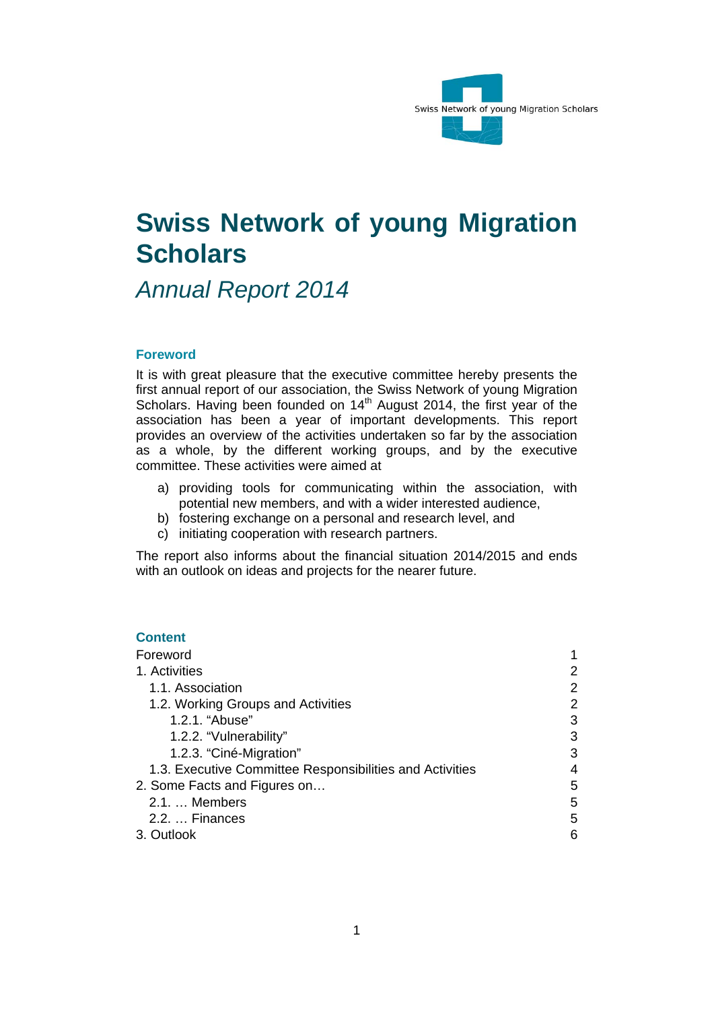

# **Swiss Network of young Migration Scholars**

*Annual Report 2014* 

#### **Foreword**

It is with great pleasure that the executive committee hereby presents the first annual report of our association, the Swiss Network of young Migration Scholars. Having been founded on 14<sup>th</sup> August 2014, the first year of the association has been a year of important developments. This report provides an overview of the activities undertaken so far by the association as a whole, by the different working groups, and by the executive committee. These activities were aimed at

- a) providing tools for communicating within the association, with potential new members, and with a wider interested audience,
- b) fostering exchange on a personal and research level, and
- c) initiating cooperation with research partners.

The report also informs about the financial situation 2014/2015 and ends with an outlook on ideas and projects for the nearer future.

## **Content**

| Foreword                                                 |   |
|----------------------------------------------------------|---|
| 1. Activities                                            |   |
| 1.1. Association                                         | 2 |
| 1.2. Working Groups and Activities                       |   |
| 1.2.1. "Abuse"                                           | 3 |
| 1.2.2. "Vulnerability"                                   | 3 |
| 1.2.3. "Ciné-Migration"                                  | З |
| 1.3. Executive Committee Responsibilities and Activities | 4 |
| 2. Some Facts and Figures on                             | 5 |
| 2.1.  Members                                            | 5 |
| 2.2.  Finances                                           | 5 |
| 3. Outlook                                               | 6 |
|                                                          |   |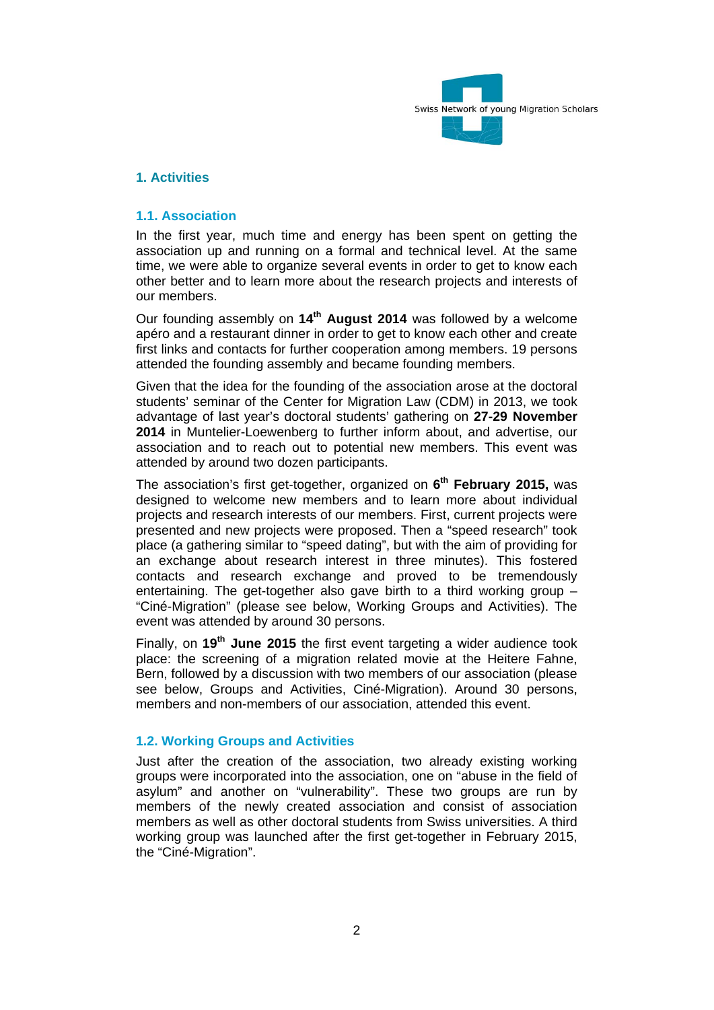

## **1. Activities**

#### **1.1. Association**

In the first year, much time and energy has been spent on getting the association up and running on a formal and technical level. At the same time, we were able to organize several events in order to get to know each other better and to learn more about the research projects and interests of our members.

Our founding assembly on **14th August 2014** was followed by a welcome apéro and a restaurant dinner in order to get to know each other and create first links and contacts for further cooperation among members. 19 persons attended the founding assembly and became founding members.

Given that the idea for the founding of the association arose at the doctoral students' seminar of the Center for Migration Law (CDM) in 2013, we took advantage of last year's doctoral students' gathering on **27-29 November 2014** in Muntelier-Loewenberg to further inform about, and advertise, our association and to reach out to potential new members. This event was attended by around two dozen participants.

The association's first get-together, organized on **6th February 2015,** was designed to welcome new members and to learn more about individual projects and research interests of our members. First, current projects were presented and new projects were proposed. Then a "speed research" took place (a gathering similar to "speed dating", but with the aim of providing for an exchange about research interest in three minutes). This fostered contacts and research exchange and proved to be tremendously entertaining. The get-together also gave birth to a third working group – "Ciné-Migration" (please see below, Working Groups and Activities). The event was attended by around 30 persons.

Finally, on **19th June 2015** the first event targeting a wider audience took place: the screening of a migration related movie at the Heitere Fahne, Bern, followed by a discussion with two members of our association (please see below, Groups and Activities, Ciné-Migration). Around 30 persons, members and non-members of our association, attended this event.

## **1.2. Working Groups and Activities**

Just after the creation of the association, two already existing working groups were incorporated into the association, one on "abuse in the field of asylum" and another on "vulnerability". These two groups are run by members of the newly created association and consist of association members as well as other doctoral students from Swiss universities. A third working group was launched after the first get-together in February 2015, the "Ciné-Migration".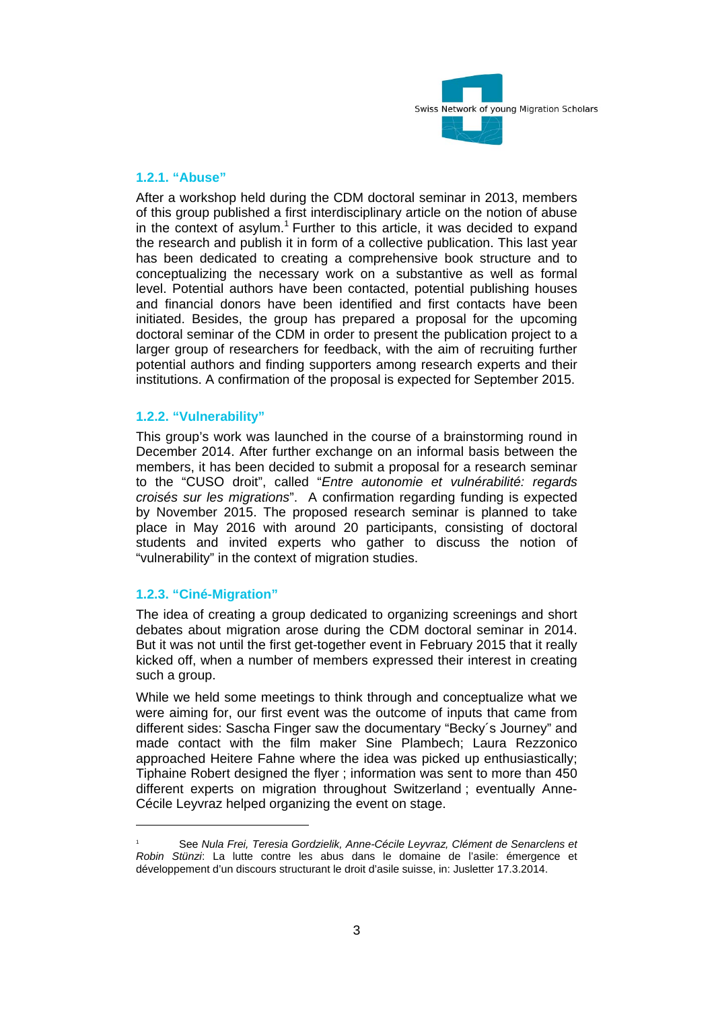

#### **1.2.1. "Abuse"**

After a workshop held during the CDM doctoral seminar in 2013, members of this group published a first interdisciplinary article on the notion of abuse in the context of asylum.<sup>1</sup> Further to this article, it was decided to expand the research and publish it in form of a collective publication. This last year has been dedicated to creating a comprehensive book structure and to conceptualizing the necessary work on a substantive as well as formal level. Potential authors have been contacted, potential publishing houses and financial donors have been identified and first contacts have been initiated. Besides, the group has prepared a proposal for the upcoming doctoral seminar of the CDM in order to present the publication project to a larger group of researchers for feedback, with the aim of recruiting further potential authors and finding supporters among research experts and their institutions. A confirmation of the proposal is expected for September 2015.

## **1.2.2. "Vulnerability"**

This group's work was launched in the course of a brainstorming round in December 2014. After further exchange on an informal basis between the members, it has been decided to submit a proposal for a research seminar to the "CUSO droit", called "*Entre autonomie et vulnérabilité: regards croisés sur les migrations*". A confirmation regarding funding is expected by November 2015. The proposed research seminar is planned to take place in May 2016 with around 20 participants, consisting of doctoral students and invited experts who gather to discuss the notion of "vulnerability" in the context of migration studies.

## **1.2.3. "Ciné-Migration"**

The idea of creating a group dedicated to organizing screenings and short debates about migration arose during the CDM doctoral seminar in 2014. But it was not until the first get-together event in February 2015 that it really kicked off, when a number of members expressed their interest in creating such a group.

While we held some meetings to think through and conceptualize what we were aiming for, our first event was the outcome of inputs that came from different sides: Sascha Finger saw the documentary "Becky´s Journey" and made contact with the film maker Sine Plambech; Laura Rezzonico approached Heitere Fahne where the idea was picked up enthusiastically; Tiphaine Robert designed the flyer ; information was sent to more than 450 different experts on migration throughout Switzerland ; eventually Anne-Cécile Leyvraz helped organizing the event on stage.

<sup>1</sup> See *Nula Frei, Teresia Gordzielik, Anne-Cécile Leyvraz, Clément de Senarclens et Robin Stünzi*: La lutte contre les abus dans le domaine de l'asile: émergence et développement d'un discours structurant le droit d'asile suisse, in: Jusletter 17.3.2014.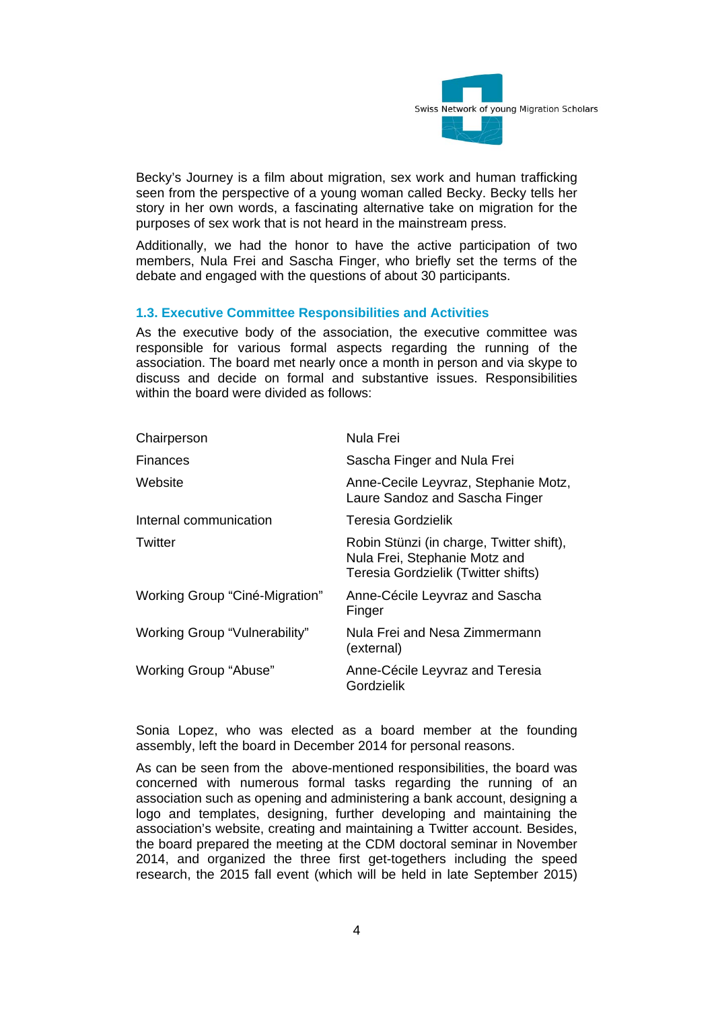

Becky's Journey is a film about migration, sex work and human trafficking seen from the perspective of a young woman called Becky. Becky tells her story in her own words, a fascinating alternative take on migration for the purposes of sex work that is not heard in the mainstream press.

Additionally, we had the honor to have the active participation of two members, Nula Frei and Sascha Finger, who briefly set the terms of the debate and engaged with the questions of about 30 participants.

#### **1.3. Executive Committee Responsibilities and Activities**

As the executive body of the association, the executive committee was responsible for various formal aspects regarding the running of the association. The board met nearly once a month in person and via skype to discuss and decide on formal and substantive issues. Responsibilities within the board were divided as follows:

| Chairperson                    | Nula Frei                                                                                                        |
|--------------------------------|------------------------------------------------------------------------------------------------------------------|
| Finances                       | Sascha Finger and Nula Frei                                                                                      |
| Website                        | Anne-Cecile Leyvraz, Stephanie Motz,<br>Laure Sandoz and Sascha Finger                                           |
| Internal communication         | Teresia Gordzielik                                                                                               |
| Twitter                        | Robin Stünzi (in charge, Twitter shift),<br>Nula Frei, Stephanie Motz and<br>Teresia Gordzielik (Twitter shifts) |
| Working Group "Ciné-Migration" | Anne-Cécile Leyvraz and Sascha<br>Finger                                                                         |
| Working Group "Vulnerability"  | Nula Frei and Nesa Zimmermann<br>(external)                                                                      |
| Working Group "Abuse"          | Anne-Cécile Leyvraz and Teresia<br>Gordzielik                                                                    |

Sonia Lopez, who was elected as a board member at the founding assembly, left the board in December 2014 for personal reasons.

As can be seen from the above-mentioned responsibilities, the board was concerned with numerous formal tasks regarding the running of an association such as opening and administering a bank account, designing a logo and templates, designing, further developing and maintaining the association's website, creating and maintaining a Twitter account. Besides, the board prepared the meeting at the CDM doctoral seminar in November 2014, and organized the three first get-togethers including the speed research, the 2015 fall event (which will be held in late September 2015)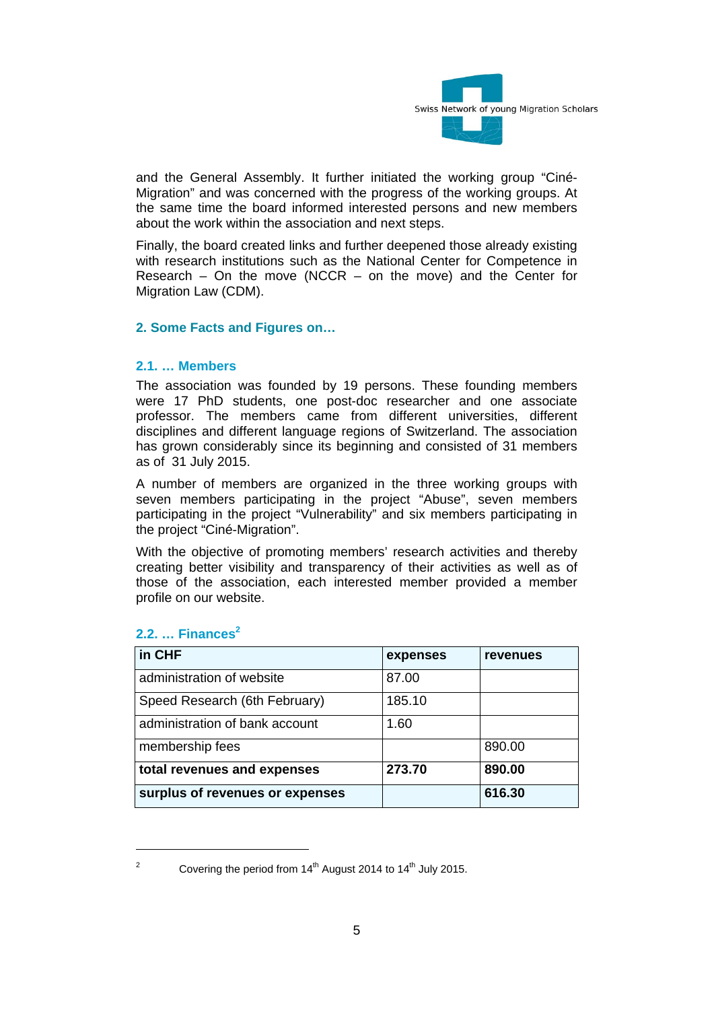

and the General Assembly. It further initiated the working group "Ciné-Migration" and was concerned with the progress of the working groups. At the same time the board informed interested persons and new members about the work within the association and next steps.

Finally, the board created links and further deepened those already existing with research institutions such as the National Center for Competence in Research – On the move (NCCR – on the move) and the Center for Migration Law (CDM).

## **2. Some Facts and Figures on…**

#### **2.1. … Members**

The association was founded by 19 persons. These founding members were 17 PhD students, one post-doc researcher and one associate professor. The members came from different universities, different disciplines and different language regions of Switzerland. The association has grown considerably since its beginning and consisted of 31 members as of 31 July 2015.

A number of members are organized in the three working groups with seven members participating in the project "Abuse", seven members participating in the project "Vulnerability" and six members participating in the project "Ciné-Migration".

With the objective of promoting members' research activities and thereby creating better visibility and transparency of their activities as well as of those of the association, each interested member provided a member profile on our website.

| in CHF                          | expenses | <b>revenues</b> |
|---------------------------------|----------|-----------------|
| administration of website       | 87.00    |                 |
| Speed Research (6th February)   | 185.10   |                 |
| administration of bank account  | 1.60     |                 |
| membership fees                 |          | 890.00          |
| total revenues and expenses     | 273.70   | 890.00          |
| surplus of revenues or expenses |          | 616.30          |

## **2.2. … Finances<sup>2</sup>**

  $\sim$ 

Covering the period from  $14<sup>th</sup>$  August 2014 to  $14<sup>th</sup>$  July 2015.